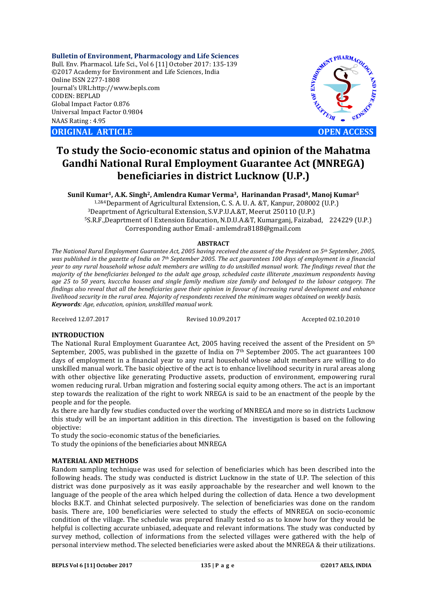**Bulletin of Environment, Pharmacology and Life Sciences** Bull. Env. Pharmacol. Life Sci., Vol 6 [11] October 2017: 135-139 ©2017 Academy for Environment and Life Sciences, India Online ISSN 2277-1808 Journal's URL:http://www.bepls.com CODEN: BEPLAD Global Impact Factor 0.876 Universal Impact Factor 0.9804 NAAS Rating : 4.95

**ORIGINAL ARTICLE OPEN ACCESS** 



# **To study the Socio-economic status and opinion of the Mahatma Gandhi National Rural Employment Guarantee Act (MNREGA) beneficiaries in district Lucknow (U.P.)**

**Sunil Kumar1, A.K. Singh2, Amlendra Kumar Verma3, Harinandan Prasad4, Manoj Kumar5** 1,2&4Deparment of Agricultural Extension, C. S. A. U. A. &T, Kanpur, 208002 (U.P.) <sup>3</sup>Deaprtment of Agricultural Extension, S.V.P.U.A.&T, Meerut 250110 (U.P.)<br><sup>5</sup>S.R.F.,Deaprtment of l Extension Education, N.D.U.A.&T, Kumarganj, Faizabad, 224229 (U.P.) Corresponding author Email- amlemdra8188@gmail.com

## **ABSTRACT**

*The National Rural Employment Guarantee Act, 2005 having received the assent of the President on 5th September, 2005, was published in the gazette of India on 7th September 2005. The act guarantees 100 days of employment in a financial year to any rural household whose adult members are willing to do unskilled manual work. The findings reveal that the majority of the beneficiaries belonged to the adult age group, scheduled caste illiterate ,maximum respondents having age 25 to 50 years, kucccha houses and single family medium size family and belonged to the labour category. The findings also reveal that all the beneficiaries gave their opinion in favour of increasing rural development and enhance livelihood security in the rural area. Majority of respondents received the minimum wages obtained on weekly basis. Keywords: Age, education, opinion, unskillled manual work.*

Received 12.07.2017 Revised 10.09.2017 Accepted 02.10.2010

## **INTRODUCTION**

The National Rural Employment Guarantee Act, 2005 having received the assent of the President on  $5<sup>th</sup>$ September, 2005, was published in the gazette of India on  $7<sup>th</sup>$  September 2005. The act guarantees 100 days of employment in a financial year to any rural household whose adult members are willing to do unskilled manual work. The basic objective of the act is to enhance livelihood security in rural areas along with other objective like generating Productive assets, production of environment, empowering rural women reducing rural. Urban migration and fostering social equity among others. The act is an important step towards the realization of the right to work NREGA is said to be an enactment of the people by the people and for the people.

As there are hardly few studies conducted over the working of MNREGA and more so in districts Lucknow this study will be an important addition in this direction. The investigation is based on the following objective:

To study the socio-economic status of the beneficiaries.

To study the opinions of the beneficiaries about MNREGA

## **MATERIAL AND METHODS**

Random sampling technique was used for selection of beneficiaries which has been described into the following heads. The study was conducted is district Lucknow in the state of U.P. The selection of this district was done purposively as it was easily approachable by the researcher and well known to the language of the people of the area which helped during the collection of data. Hence a two development blocks B.K.T. and Chinhat selected purposively. The selection of beneficiaries was done on the random basis. There are, 100 beneficiaries were selected to study the effects of MNREGA on socio-economic condition of the village. The schedule was prepared finally tested so as to know how for they would be helpful is collecting accurate unbiased, adequate and relevant informations. The study was conducted by survey method, collection of informations from the selected villages were gathered with the help of personal interview method. The selected beneficiaries were asked about the MNREGA & their utilizations.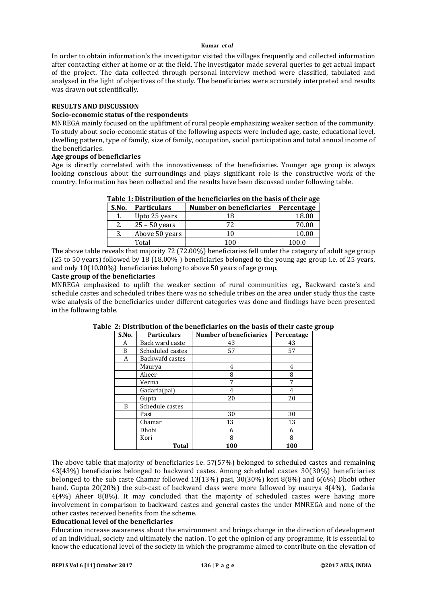In order to obtain information's the investigator visited the villages frequently and collected information after contacting either at home or at the field. The investigator made several queries to get actual impact of the project. The data collected through personal interview method were classified, tabulated and analysed in the light of objectives of the study. The beneficiaries were accurately interpreted and results was drawn out scientifically.

## **RESULTS AND DISCUSSION**

# **Socio-economic status of the respondents**

MNREGA mainly focused on the upliftment of rural people emphasizing weaker section of the community. To study about socio-economic status of the following aspects were included age, caste, educational level, dwelling pattern, type of family, size of family, occupation, social participation and total annual income of the beneficiaries.

# **Age groups of beneficiaries**

Age is directly correlated with the innovativeness of the beneficiaries. Younger age group is always looking conscious about the surroundings and plays significant role is the constructive work of the country. Information has been collected and the results have been discussed under following table.

| Table 1: Distribution of the beneficiaries on the basis of their age |                    |                                       |       |  |  |
|----------------------------------------------------------------------|--------------------|---------------------------------------|-------|--|--|
| S.No.                                                                | <b>Particulars</b> | Number on beneficiaries<br>Percentage |       |  |  |
| 1.                                                                   | Upto 25 years      | 18                                    | 18.00 |  |  |
| 2.                                                                   | $25 - 50$ years    | 72.                                   | 70.00 |  |  |
| 3.                                                                   | Above 50 years     | 10                                    | 10.00 |  |  |
|                                                                      | Total              | 100                                   | 100.0 |  |  |

# **Table 1: Distribution of the beneficiaries on the basis of their age**

The above table reveals that majority 72 (72.00%) beneficiaries fell under the category of adult age group (25 to 50 years) followed by 18 (18.00% ) beneficiaries belonged to the young age group i.e. of 25 years, and only 10(10.00%) beneficiaries belong to above 50 years of age group.

# **Caste group of the beneficiaries**

MNREGA emphasized to uplift the weaker section of rural communities eg., Backward caste's and schedule castes and scheduled tribes there was no schedule tribes on the area under study thus the caste wise analysis of the beneficiaries under different categories was done and findings have been presented in the following table.

| S.No. | <b>Particulars</b> | <b>Number of beneficiaries</b> | Percentage |
|-------|--------------------|--------------------------------|------------|
| A     | Back ward caste    | 43                             | 43         |
| B     | Scheduled castes   | 57                             | 57         |
| A     | Backwafd castes    |                                |            |
|       | Maurya             | 4                              | 4          |
|       | Aheer              | 8                              | 8          |
|       | Verma              | 7                              |            |
|       | Gadaria(pal)       | 4                              |            |
|       | Gupta              | 20                             | 20         |
| B     | Schedule castes    |                                |            |
|       | Pasi               | 30                             | 30         |
|       | Chamar             | 13                             | 13         |
|       | Dhobi              | 6                              | 6          |
|       | Kori               | 8                              | 8          |
|       | Total              | 100                            | 100        |

# **Table 2: Distribution of the beneficiaries on the basis of their caste group**

The above table that majority of beneficiaries i.e. 57(57%) belonged to scheduled castes and remaining 43(43%) beneficiaries belonged to backward castes. Among scheduled castes 30(30%) beneficiaries belonged to the sub caste Chamar followed 13(13%) pasi, 30(30%) kori 8(8%) and 6(6%) Dhobi other hand. Gupta 20(20%) the sub-cast of backward class were more fallowed by maurya 4(4%), Gadaria 4(4%) Aheer 8(8%). It may concluded that the majority of scheduled castes were having more involvement in comparison to backward castes and general castes the under MNREGA and none of the other castes received benefits from the scheme.

# **Educational level of the beneficiaries**

Education increase awareness about the environment and brings change in the direction of development of an individual, society and ultimately the nation. To get the opinion of any programme, it is essential to know the educational level of the society in which the programme aimed to contribute on the elevation of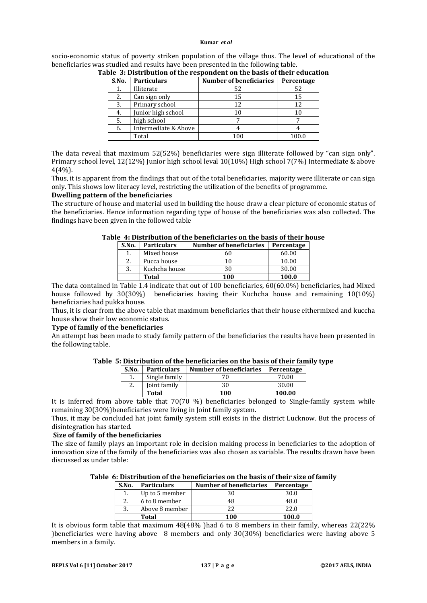socio-economic status of poverty striken population of the village thus. The level of educational of the beneficiaries was studied and results have been presented in the following table.

| S.No. | <b>Particulars</b>   | <b>Number of beneficiaries</b> | Percentage |
|-------|----------------------|--------------------------------|------------|
| 1.    | Illiterate           | 52                             | 52         |
| 2.    | Can sign only        | 15                             | 15         |
| 3.    | Primary school       | 12                             | 12         |
| 4.    | Junior high school   | 10                             |            |
| 5.    | high school          |                                |            |
| 6.    | Intermediate & Above |                                |            |
|       | Total                | n                              |            |

**Table 3: Distribution of the respondent on the basis of their education**

The data reveal that maximum 52(52%) beneficiaries were sign illiterate followed by "can sign only". Primary school level, 12(12%) Junior high school leval 10(10%) High school 7(7%) Intermediate & above 4(4%).

Thus, it is apparent from the findings that out of the total beneficiaries, majority were illiterate or can sign only. This shows low literacy level, restricting the utilization of the benefits of programme.

# **Dwelling pattern of the beneficiaries**

The structure of house and material used in building the house draw a clear picture of economic status of the beneficiaries. Hence information regarding type of house of the beneficiaries was also collected. The findings have been given in the followed table

| S.No. | <b>Particulars</b> | Number of beneficiaries | Percentage |
|-------|--------------------|-------------------------|------------|
|       | Mixed house        | 50                      | 60.00      |
| 2.    | Pucca house        | 10                      | 10.00      |
| 3.    | Kuchcha house      | 30                      | 30.00      |
|       | Total              | 100                     | 100.0      |

**Table 4: Distribution of the beneficiaries on the basis of their house**

The data contained in Table 1.4 indicate that out of 100 beneficiaries, 60(60.0%) beneficiaries, had Mixed house followed by 30(30%) beneficiaries having their Kuchcha house and remaining 10(10%) beneficiaries had pukka house.

Thus, it is clear from the above table that maximum beneficiaries that their house eithermixed and kuccha house show their low economic status.

## **Type of family of the beneficiaries**

An attempt has been made to study family pattern of the beneficiaries the results have been presented in the following table.

| S.No. | <b>Particulars</b> | Number of beneficiaries<br>Percentage |        |
|-------|--------------------|---------------------------------------|--------|
|       | Single family      | 70                                    | 70.00  |
| ۷.    | Joint family       | 30                                    | 30.00  |
|       | Total              | 100                                   | 100.00 |

**Table 5: Distribution of the beneficiaries on the basis of their family type**

It is inferred from above table that 70(70 %) beneficiaries belonged to Single-family system while remaining 30(30%)beneficiaries were living in Joint family system.

Thus, it may be concluded hat joint family system still exists in the district Lucknow. But the process of disintegration has started.

# **Size of family of the beneficiaries**

The size of family plays an important role in decision making process in beneficiaries to the adoption of innovation size of the family of the beneficiaries was also chosen as variable. The results drawn have been discussed as under table:

**Table 6: Distribution of the beneficiaries on the basis of their size of family**

| S.No. | <b>Particulars</b> | Number of beneficiaries | Percentage |
|-------|--------------------|-------------------------|------------|
|       | Up to 5 member     |                         | 30.0       |
|       | 6 to 8 member      | 48                      | 48.0       |
| 3.    | Above 8 member     |                         | 22.0       |
|       | Total              | 100                     | 100.0      |

It is obvious form table that maximum 48(48% )had 6 to 8 members in their family, whereas 22(22% )beneficiaries were having above 8 members and only 30(30%) beneficiaries were having above 5 members in a family.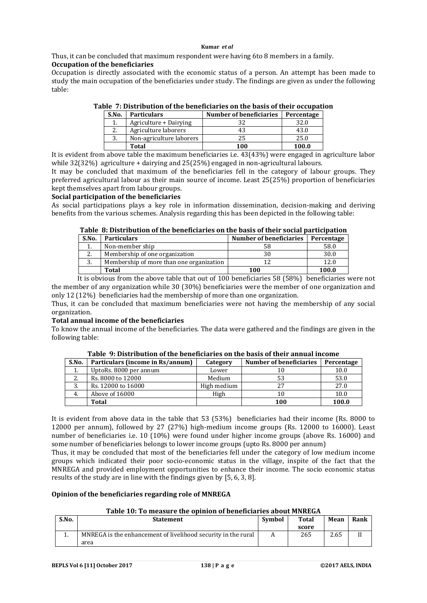Thus, it can be concluded that maximum respondent were having 6to 8 members in a family. **Occupation of the beneficiaries**

Occupation is directly associated with the economic status of a person. An attempt has been made to study the main occupation of the beneficiaries under study. The findings are given as under the following table:

| S.No. | <b>Particulars</b>       | Number of beneficiaries | Percentage |
|-------|--------------------------|-------------------------|------------|
|       | Agriculture + Dairying   | つつ                      | 32.0       |
|       | Agriculture laborers     | 43                      | 43.0       |
| 3.    | Non-agriculture laborers | 25                      | 25.0       |
|       | Total                    | 100                     | 100.0      |

**Table 7: Distribution of the beneficiaries on the basis of their occupation**

It is evident from above table the maximum beneficiaries i.e. 43(43%) were engaged in agriculture labor while 32(32%) agriculture + dairying and 25(25%) engaged in non-agricultural labours.

It may be concluded that maximum of the beneficiaries fell in the category of labour groups. They preferred agricultural labour as their main source of income. Least 25(25%) proportion of beneficiaries kept themselves apart from labour groups.

## **Social participation of the beneficiaries**

As social participations plays a key role in information dissemination, decision-making and deriving benefits from the various schemes. Analysis regarding this has been depicted in the following table:

#### **Table 8: Distribution of the beneficiaries on the basis of their social participation**

| S.No. | <b>Particulars</b>                       | Number of beneficiaries | Percentage |
|-------|------------------------------------------|-------------------------|------------|
| . .   | Non-member ship                          | 58                      | 58.0       |
| 2.    | Membership of one organization           | 30                      | 30.0       |
| 3.    | Membership of more than one organization |                         | 12.0       |
|       | Total                                    | 100                     | 100.0      |

It is obvious from the above table that out of 100 beneficiaries 58 (58%) beneficiaries were not the member of any organization while 30 (30%) beneficiaries were the member of one organization and only 12 (12%) beneficiaries had the membership of more than one organization.

Thus, it can be concluded that maximum beneficiaries were not having the membership of any social organization.

# **Total annual income of the beneficiaries**

To know the annual income of the beneficiaries. The data were gathered and the findings are given in the following table:

| S.No. | Particulars (income in Rs/annum) | Category    | Number of beneficiaries | Percentage |
|-------|----------------------------------|-------------|-------------------------|------------|
| 1.    | UptoRs. 8000 per annum           | Lower       | 10                      | 10.0       |
| Ζ.    | Rs. 8000 to 12000                | Medium      | 53                      | 53.0       |
| 3.    | Rs. 12000 to 16000               | High medium | 27                      | 27.0       |
| 4.    | Above of 16000                   | High        | 10                      | 10.0       |
|       | Total                            |             | 100                     | 100.0      |

#### **Table 9: Distribution of the beneficiaries on the basis of their annual income**

It is evident from above data in the table that 53 (53%) beneficiaries had their income (Rs. 8000 to 12000 per annum), followed by 27 (27%) high-medium income groups (Rs. 12000 to 16000). Least number of beneficiaries i.e. 10 (10%) were found under higher income groups (above Rs. 16000) and some number of beneficiaries belongs to lower income groups (upto Rs. 8000 per annum)

Thus, it may be concluded that most of the beneficiaries fell under the category of low medium income groups which indicated their poor socio-economic status in the village, inspite of the fact that the MNREGA and provided employment opportunities to enhance their income. The socio economic status results of the study are in line with the findings given by [5, 6, 3, 8].

## **Opinion of the beneficiaries regarding role of MNREGA**

## **Table 10: To measure the opinion of beneficiaries about MNREGA**

| S.No. | <b>Statement</b>                                              | Symbol | Total | Mean | Rank |
|-------|---------------------------------------------------------------|--------|-------|------|------|
|       |                                                               |        | score |      |      |
|       | MNREGA is the enhancement of livelihood security in the rural |        | 265   | 2.65 |      |
|       | area                                                          |        |       |      |      |